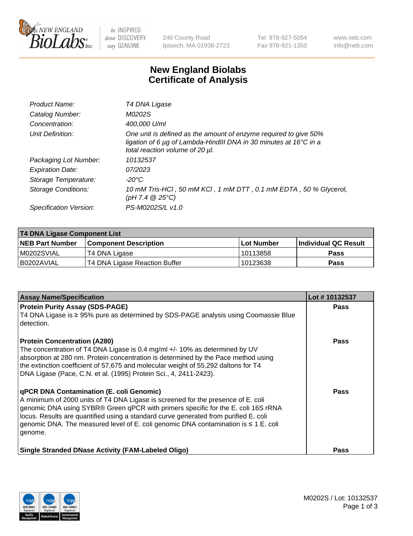

 $be$  INSPIRED drive DISCOVERY stay GENUINE

240 County Road Ipswich, MA 01938-2723 Tel 978-927-5054 Fax 978-921-1350 www.neb.com info@neb.com

## **New England Biolabs Certificate of Analysis**

| Product Name:           | T4 DNA Ligase                                                                                                                                                            |
|-------------------------|--------------------------------------------------------------------------------------------------------------------------------------------------------------------------|
| Catalog Number:         | M0202S                                                                                                                                                                   |
| Concentration:          | 400,000 U/ml                                                                                                                                                             |
| Unit Definition:        | One unit is defined as the amount of enzyme required to give 50%<br>ligation of 6 µg of Lambda-HindIII DNA in 30 minutes at 16°C in a<br>total reaction volume of 20 µl. |
| Packaging Lot Number:   | 10132537                                                                                                                                                                 |
| <b>Expiration Date:</b> | 07/2023                                                                                                                                                                  |
| Storage Temperature:    | $-20^{\circ}$ C                                                                                                                                                          |
| Storage Conditions:     | 10 mM Tris-HCl, 50 mM KCl, 1 mM DTT, 0.1 mM EDTA, 50 % Glycerol,<br>$(pH 7.4 \ @ 25^{\circ}C)$                                                                           |
| Specification Version:  | PS-M0202S/L v1.0                                                                                                                                                         |

| <b>T4 DNA Ligase Component List</b> |                               |            |                             |  |
|-------------------------------------|-------------------------------|------------|-----------------------------|--|
| <b>NEB Part Number</b>              | <b>Component Description</b>  | Lot Number | <b>Individual QC Result</b> |  |
| M0202SVIAL                          | T4 DNA Ligase                 | 10113858   | <b>Pass</b>                 |  |
| B0202AVIAL                          | T4 DNA Ligase Reaction Buffer | 10123638   | <b>Pass</b>                 |  |

| <b>Assay Name/Specification</b>                                                                                                                                           | Lot #10132537 |
|---------------------------------------------------------------------------------------------------------------------------------------------------------------------------|---------------|
| <b>Protein Purity Assay (SDS-PAGE)</b>                                                                                                                                    | <b>Pass</b>   |
| T4 DNA Ligase is ≥ 95% pure as determined by SDS-PAGE analysis using Coomassie Blue<br>detection.                                                                         |               |
| <b>Protein Concentration (A280)</b>                                                                                                                                       | Pass          |
| The concentration of T4 DNA Ligase is 0.4 mg/ml $+/-$ 10% as determined by UV<br>absorption at 280 nm. Protein concentration is determined by the Pace method using       |               |
| the extinction coefficient of 57,675 and molecular weight of 55,292 daltons for T4                                                                                        |               |
| DNA Ligase (Pace, C.N. et al. (1995) Protein Sci., 4, 2411-2423).                                                                                                         |               |
| <b>qPCR DNA Contamination (E. coli Genomic)</b>                                                                                                                           | Pass          |
| A minimum of 2000 units of T4 DNA Ligase is screened for the presence of E. coli                                                                                          |               |
| genomic DNA using SYBR® Green qPCR with primers specific for the E. coli 16S rRNA<br>locus. Results are quantified using a standard curve generated from purified E. coli |               |
| genomic DNA. The measured level of E. coli genomic DNA contamination is $\leq 1$ E. coli                                                                                  |               |
| genome.                                                                                                                                                                   |               |
| <b>Single Stranded DNase Activity (FAM-Labeled Oligo)</b>                                                                                                                 | <b>Pass</b>   |

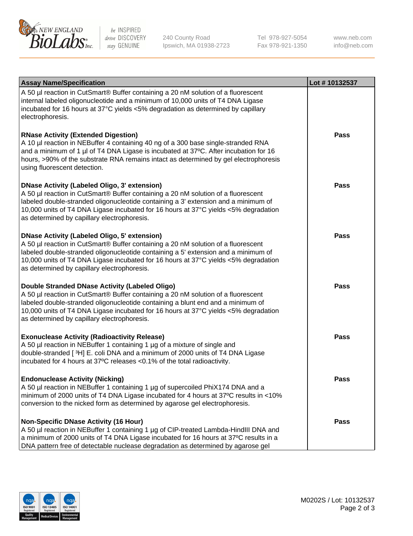

be INSPIRED drive DISCOVERY stay GENUINE

240 County Road Ipswich, MA 01938-2723 Tel 978-927-5054 Fax 978-921-1350

www.neb.com info@neb.com

| <b>Assay Name/Specification</b>                                                                                                                                                                                                                                                                                                                                      | Lot #10132537 |
|----------------------------------------------------------------------------------------------------------------------------------------------------------------------------------------------------------------------------------------------------------------------------------------------------------------------------------------------------------------------|---------------|
| A 50 µl reaction in CutSmart® Buffer containing a 20 nM solution of a fluorescent<br>internal labeled oligonucleotide and a minimum of 10,000 units of T4 DNA Ligase<br>incubated for 16 hours at 37°C yields <5% degradation as determined by capillary<br>electrophoresis.                                                                                         |               |
| <b>RNase Activity (Extended Digestion)</b><br>A 10 µl reaction in NEBuffer 4 containing 40 ng of a 300 base single-stranded RNA<br>and a minimum of 1 µl of T4 DNA Ligase is incubated at 37°C. After incubation for 16<br>hours, >90% of the substrate RNA remains intact as determined by gel electrophoresis<br>using fluorescent detection.                      | Pass          |
| <b>DNase Activity (Labeled Oligo, 3' extension)</b><br>A 50 µl reaction in CutSmart® Buffer containing a 20 nM solution of a fluorescent<br>labeled double-stranded oligonucleotide containing a 3' extension and a minimum of<br>10,000 units of T4 DNA Ligase incubated for 16 hours at 37°C yields <5% degradation<br>as determined by capillary electrophoresis. | Pass          |
| <b>DNase Activity (Labeled Oligo, 5' extension)</b><br>A 50 µl reaction in CutSmart® Buffer containing a 20 nM solution of a fluorescent<br>labeled double-stranded oligonucleotide containing a 5' extension and a minimum of<br>10,000 units of T4 DNA Ligase incubated for 16 hours at 37°C yields <5% degradation<br>as determined by capillary electrophoresis. | Pass          |
| Double Stranded DNase Activity (Labeled Oligo)<br>A 50 µl reaction in CutSmart® Buffer containing a 20 nM solution of a fluorescent<br>labeled double-stranded oligonucleotide containing a blunt end and a minimum of<br>10,000 units of T4 DNA Ligase incubated for 16 hours at 37°C yields <5% degradation<br>as determined by capillary electrophoresis.         | <b>Pass</b>   |
| <b>Exonuclease Activity (Radioactivity Release)</b><br>A 50 µl reaction in NEBuffer 1 containing 1 µg of a mixture of single and<br>double-stranded [3H] E. coli DNA and a minimum of 2000 units of T4 DNA Ligase<br>incubated for 4 hours at 37°C releases <0.1% of the total radioactivity.                                                                        | Pass          |
| <b>Endonuclease Activity (Nicking)</b><br>A 50 µl reaction in NEBuffer 1 containing 1 µg of supercoiled PhiX174 DNA and a<br>minimum of 2000 units of T4 DNA Ligase incubated for 4 hours at 37°C results in <10%<br>conversion to the nicked form as determined by agarose gel electrophoresis.                                                                     | <b>Pass</b>   |
| <b>Non-Specific DNase Activity (16 Hour)</b><br>A 50 µl reaction in NEBuffer 1 containing 1 µg of CIP-treated Lambda-HindIII DNA and<br>a minimum of 2000 units of T4 DNA Ligase incubated for 16 hours at 37°C results in a<br>DNA pattern free of detectable nuclease degradation as determined by agarose gel                                                     | Pass          |